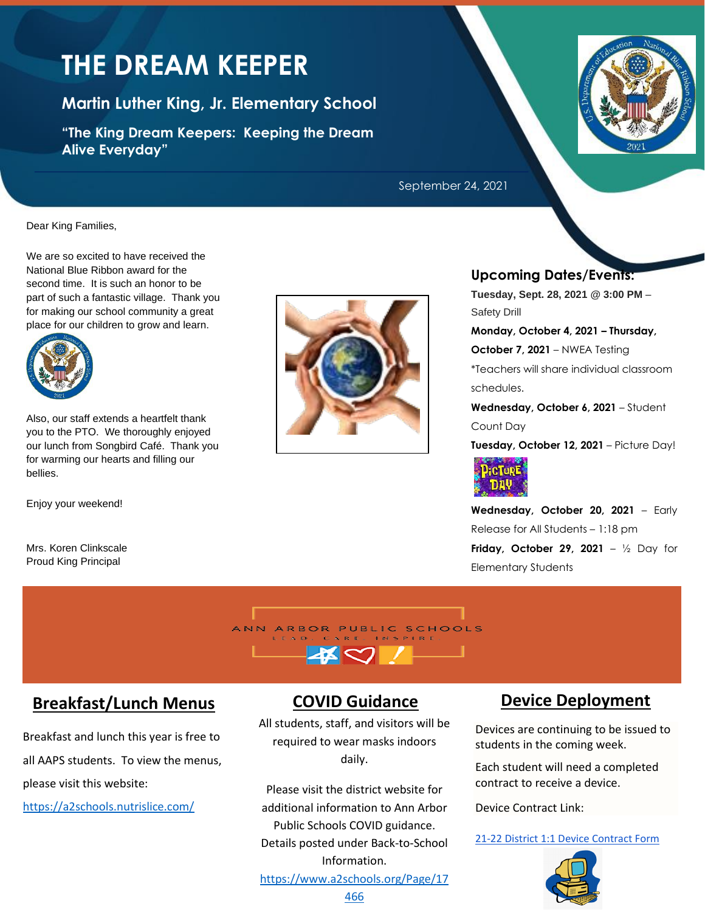# **THE DREAM KEEPER**

**Martin Luther King, Jr. Elementary School**

**"The King Dream Keepers: Keeping the Dream Alive Everyday"**

Dear King Families,

We are so excited to have received the National Blue Ribbon award for the second time. It is such an honor to be part of such a fantastic village. Thank you for making our school community a great place for our children to grow and learn.



Also, our staff extends a heartfelt thank you to the PTO. We thoroughly enjoyed our lunch from Songbird Café. Thank you for warming our hearts and filling our bellies.

Enjoy your weekend!

Mrs. Koren Clinkscale Proud King Principal





#### September 24, 2021

## **Upcoming Dates/Events:**

**Tuesday, Sept. 28, 2021 @ 3:00 PM** – Safety Drill

**Monday, October 4, 2021 – Thursday,**

**October 7, 2021** – NWEA Testing

\*Teachers will share individual classroom schedules.

**Wednesday, October 6, 2021** – Student Count Day

**Tuesday, October 12, 2021** – Picture Day!



**Wednesday, October 20, 2021** – Early Release for All Students – 1:18 pm **Friday, October 29, 2021** – ½ Day for Elementary Students



# **Breakfast/Lunch Menus**

Breakfast and lunch this year is free to all AAPS students. To view the menus, please visit this website:

<https://a2schools.nutrislice.com/>

# **COVID Guidance**

All students, staff, and visitors will be required to wear masks indoors daily.

Please visit the district website for additional information to Ann Arbor Public Schools COVID guidance. Details posted under Back-to-School Information.

[https://www.a2schools.org/Page/17](https://www.a2schools.org/Page/17466)

# **Device Deployment**

Devices are continuing to be issued to students in the coming week.

Each student will need a completed contract to receive a device.

Device Contract Link:

[21-22 District 1:1 Device Contract Form](https://forms.gle/KTnAjFDo3oGKC3FX6)

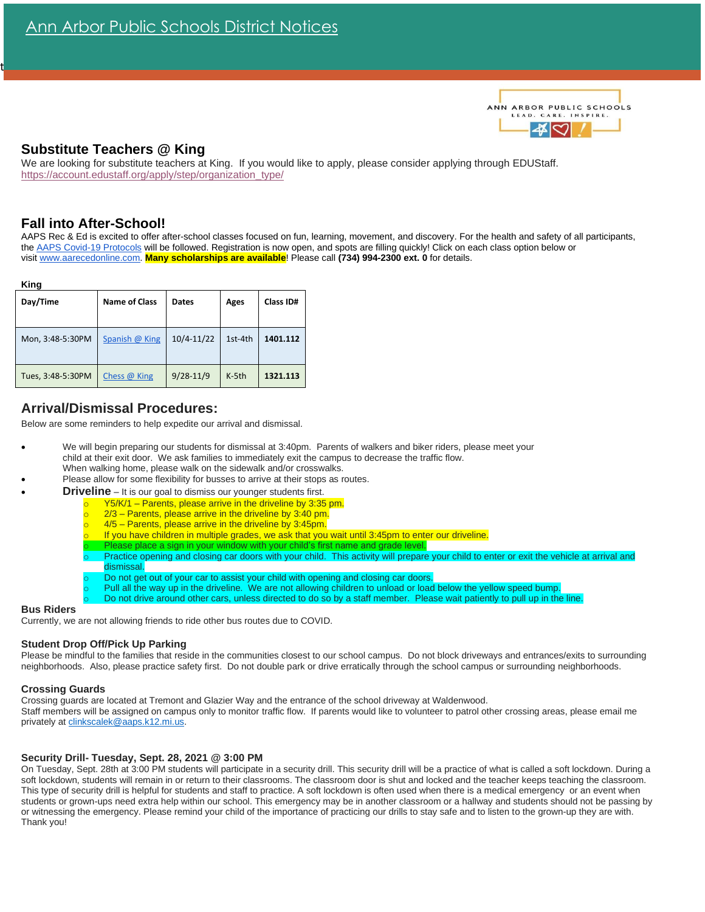

## **Substitute Teachers @ King**

We are looking for substitute teachers at King. If you would like to apply, please consider applying through EDUStaff. [https://account.edustaff.org/apply/step/organization\\_type/](https://account.edustaff.org/apply/step/organization_type/)

## **Fall into After-School!**

t

AAPS Rec & Ed is excited to offer after-school classes focused on fun, learning, movement, and discovery. For the health and safety of all participants, the [AAPS Covid-19 Protocols](https://docs.google.com/document/d/1B1EhdyDjqtDnSICfJKPJafP3J6U6ph_H-_Fn1fmIsHg/edit) will be followed. Registration is now open, and spots are filling quickly! Click on each class option below or visit [www.aarecedonline.com.](http://www.aarecedonline.com/) **Many scholarships are available**! Please call **(734) 994-2300 ext. 0** for details.

| Day/Time          | <b>Name of Class</b> | <b>Dates</b>   | Ages    | <b>Class ID#</b> |
|-------------------|----------------------|----------------|---------|------------------|
| Mon, 3:48-5:30PM  | Spanish @ King       | $10/4 - 11/22$ | 1st-4th | 1401.112         |
| Tues, 3:48-5:30PM | Chess @ King         | $9/28 - 11/9$  | $K-5th$ | 1321.113         |

# **Arrival/Dismissal Procedures:**

Below are some reminders to help expedite our arrival and dismissal.

- We will begin preparing our students for dismissal at 3:40pm. Parents of walkers and biker riders, please meet your child at their exit door. We ask families to immediately exit the campus to decrease the traffic flow. When walking home, please walk on the sidewalk and/or crosswalks.
- Please allow for some flexibility for busses to arrive at their stops as routes.
- **Driveline** It is our goal to dismiss our younger students first.
	- $Y5/K/1$  Parents, please arrive in the driveline by 3:35 pm.
		- $2/3$  Parents, please arrive in the driveline by 3:40 pm.
		- $4/5$  Parents, please arrive in the driveline by 3:45pm.
	- If you have children in multiple grades, we ask that you wait until 3:45pm to enter our driveline.
	- Please place a sign in your window with your child's first name and grade level.
	- Practice opening and closing car doors with your child. This activity will prepare your child to enter or exit the vehicle at arrival and dismissal.
	- Do not get out of your car to assist your child with opening and closing car doors.
	- Pull all the way up in the driveline. We are not allowing children to unload or load below the yellow speed bump.
	- Do not drive around other cars, unless directed to do so by a staff member. Please wait patiently to pull up in the line.

#### **Bus Riders**

Currently, we are not allowing friends to ride other bus routes due to COVID.

#### **Student Drop Off/Pick Up Parking**

Please be mindful to the families that reside in the communities closest to our school campus. Do not block driveways and entrances/exits to surrounding neighborhoods. Also, please practice safety first. Do not double park or drive erratically through the school campus or surrounding neighborhoods.

#### **Crossing Guards**

Crossing guards are located at Tremont and Glazier Way and the entrance of the school driveway at Waldenwood. Staff members will be assigned on campus only to monitor traffic flow. If parents would like to volunteer to patrol other crossing areas, please email me privately a[t clinkscalek@aaps.k12.mi.us.](mailto:clinkscalek@aaps.k12.mi.us)

#### **Security Drill- Tuesday, Sept. 28, 2021 @ 3:00 PM**

On Tuesday, Sept. 28th at 3:00 PM students will participate in a security drill. This security drill will be a practice of what is called a soft lockdown. During a soft lockdown, students will remain in or return to their classrooms. The classroom door is shut and locked and the teacher keeps teaching the classroom. This type of security drill is helpful for students and staff to practice. A soft lockdown is often used when there is a medical emergency or an event when students or grown-ups need extra help within our school. This emergency may be in another classroom or a hallway and students should not be passing by or witnessing the emergency. Please remind your child of the importance of practicing our drills to stay safe and to listen to the grown-up they are with. Thank you!